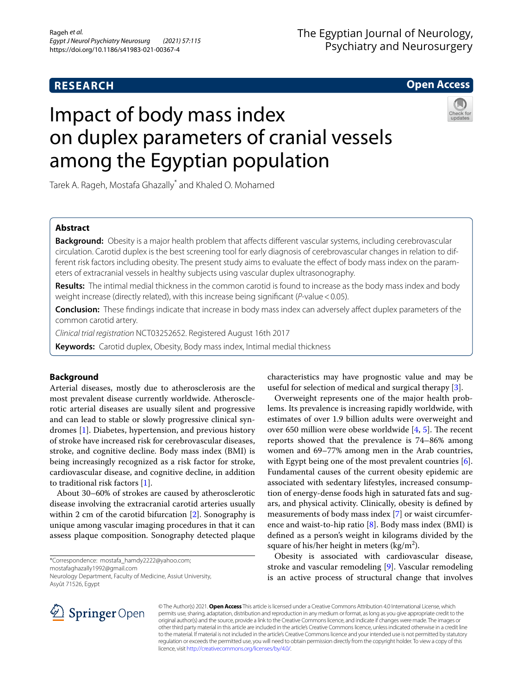# **RESEARCH**

# **Open Access**

# Impact of body mass index on duplex parameters of cranial vessels among the Egyptian population



Tarek A. Rageh, Mostafa Ghazally\* and Khaled O. Mohamed

# **Abstract**

**Background:** Obesity is a major health problem that affects different vascular systems, including cerebrovascular circulation. Carotid duplex is the best screening tool for early diagnosis of cerebrovascular changes in relation to different risk factors including obesity. The present study aims to evaluate the effect of body mass index on the parameters of extracranial vessels in healthy subjects using vascular duplex ultrasonography.

**Results:** The intimal medial thickness in the common carotid is found to increase as the body mass index and body weight increase (directly related), with this increase being signifcant (*P*-value<0.05).

**Conclusion:** These fndings indicate that increase in body mass index can adversely afect duplex parameters of the common carotid artery.

*Clinical trial registration* NCT03252652. Registered August 16th 2017

**Keywords:** Carotid duplex, Obesity, Body mass index, Intimal medial thickness

## **Background**

Arterial diseases, mostly due to atherosclerosis are the most prevalent disease currently worldwide. Atherosclerotic arterial diseases are usually silent and progressive and can lead to stable or slowly progressive clinical syndromes [\[1](#page-3-0)]. Diabetes, hypertension, and previous history of stroke have increased risk for cerebrovascular diseases, stroke, and cognitive decline. Body mass index (BMI) is being increasingly recognized as a risk factor for stroke, cardiovascular disease, and cognitive decline, in addition to traditional risk factors [\[1](#page-3-0)].

About 30–60% of strokes are caused by atherosclerotic disease involving the extracranial carotid arteries usually within 2 cm of the carotid bifurcation [\[2](#page-3-1)]. Sonography is unique among vascular imaging procedures in that it can assess plaque composition. Sonography detected plaque

\*Correspondence: mostafa\_hamdy2222@yahoo.com; mostafaghazally1992@gmail.com

Neurology Department, Faculty of Medicine, Assiut University, Asyût 71526, Egypt

characteristics may have prognostic value and may be useful for selection of medical and surgical therapy [\[3](#page-3-2)].

Overweight represents one of the major health problems. Its prevalence is increasing rapidly worldwide, with estimates of over 1.9 billion adults were overweight and over 650 million were obese worldwide  $[4, 5]$  $[4, 5]$  $[4, 5]$  $[4, 5]$ . The recent reports showed that the prevalence is 74–86% among women and 69–77% among men in the Arab countries, with Egypt being one of the most prevalent countries [\[6](#page-3-5)]. Fundamental causes of the current obesity epidemic are associated with sedentary lifestyles, increased consumption of energy-dense foods high in saturated fats and sugars, and physical activity. Clinically, obesity is defned by measurements of body mass index [\[7](#page-3-6)] or waist circumference and waist-to-hip ratio  $[8]$  $[8]$ . Body mass index (BMI) is defned as a person's weight in kilograms divided by the square of his/her height in meters (kg/m<sup>2</sup>).

Obesity is associated with cardiovascular disease, stroke and vascular remodeling [\[9](#page-3-8)]. Vascular remodeling is an active process of structural change that involves



© The Author(s) 2021. **Open Access** This article is licensed under a Creative Commons Attribution 4.0 International License, which permits use, sharing, adaptation, distribution and reproduction in any medium or format, as long as you give appropriate credit to the original author(s) and the source, provide a link to the Creative Commons licence, and indicate if changes were made. The images or other third party material in this article are included in the article's Creative Commons licence, unless indicated otherwise in a credit line to the material. If material is not included in the article's Creative Commons licence and your intended use is not permitted by statutory regulation or exceeds the permitted use, you will need to obtain permission directly from the copyright holder. To view a copy of this licence, visit [http://creativecommons.org/licenses/by/4.0/.](http://creativecommons.org/licenses/by/4.0/)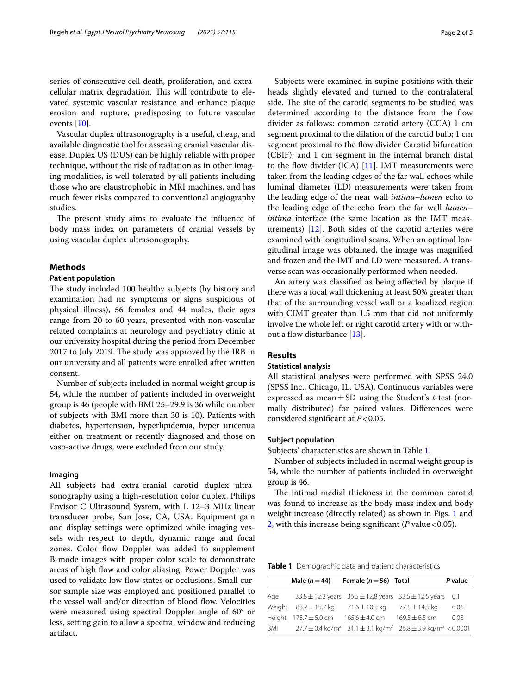series of consecutive cell death, proliferation, and extracellular matrix degradation. This will contribute to elevated systemic vascular resistance and enhance plaque erosion and rupture, predisposing to future vascular events [\[10](#page-3-9)].

Vascular duplex ultrasonography is a useful, cheap, and available diagnostic tool for assessing cranial vascular disease. Duplex US (DUS) can be highly reliable with proper technique, without the risk of radiation as in other imaging modalities, is well tolerated by all patients including those who are claustrophobic in MRI machines, and has much fewer risks compared to conventional angiography studies.

The present study aims to evaluate the influence of body mass index on parameters of cranial vessels by using vascular duplex ultrasonography.

## **Methods**

## **Patient population**

The study included 100 healthy subjects (by history and examination had no symptoms or signs suspicious of physical illness), 56 females and 44 males, their ages range from 20 to 60 years, presented with non-vascular related complaints at neurology and psychiatry clinic at our university hospital during the period from December 2017 to July 2019. The study was approved by the IRB in our university and all patients were enrolled after written consent.

Number of subjects included in normal weight group is 54, while the number of patients included in overweight group is 46 (people with BMI 25–29.9 is 36 while number of subjects with BMI more than 30 is 10). Patients with diabetes, hypertension, hyperlipidemia, hyper uricemia either on treatment or recently diagnosed and those on vaso-active drugs, were excluded from our study.

## **Imaging**

All subjects had extra-cranial carotid duplex ultrasonography using a high-resolution color duplex, Philips Envisor C Ultrasound System, with L 12–3 MHz linear transducer probe, San Jose, CA, USA. Equipment gain and display settings were optimized while imaging vessels with respect to depth, dynamic range and focal zones. Color flow Doppler was added to supplement B-mode images with proper color scale to demonstrate areas of high flow and color aliasing. Power Doppler was used to validate low flow states or occlusions. Small cursor sample size was employed and positioned parallel to the vessel wall and/or direction of blood flow. Velocities were measured using spectral Doppler angle of 60° or less, setting gain to allow a spectral window and reducing artifact.

Subjects were examined in supine positions with their heads slightly elevated and turned to the contralateral side. The site of the carotid segments to be studied was determined according to the distance from the flow divider as follows: common carotid artery (CCA) 1 cm segment proximal to the dilation of the carotid bulb; 1 cm segment proximal to the flow divider Carotid bifurcation (CBIF); and 1 cm segment in the internal branch distal to the flow divider  $(ICA)$  [\[11](#page-3-10)]. IMT measurements were taken from the leading edges of the far wall echoes while luminal diameter (LD) measurements were taken from the leading edge of the near wall *intima–lumen* echo to the leading edge of the echo from the far wall *lumen– intima* interface (the same location as the IMT measurements) [[12\]](#page-3-11). Both sides of the carotid arteries were examined with longitudinal scans. When an optimal longitudinal image was obtained, the image was magnifed and frozen and the IMT and LD were measured. A transverse scan was occasionally performed when needed.

An artery was classifed as being afected by plaque if there was a focal wall thickening at least 50% greater than that of the surrounding vessel wall or a localized region with CIMT greater than 1.5 mm that did not uniformly involve the whole left or right carotid artery with or with-out a flow disturbance [[13\]](#page-3-12).

## **Results**

## **Statistical analysis**

All statistical analyses were performed with SPSS 24.0 (SPSS Inc., Chicago, IL. USA). Continuous variables were expressed as mean±SD using the Student's *t*-test (normally distributed) for paired values. Diferences were considered signifcant at *P*<0.05.

## **Subject population**

Subjects' characteristics are shown in Table [1.](#page-1-0)

Number of subjects included in normal weight group is 54, while the number of patients included in overweight group is 46.

The intimal medial thickness in the common carotid was found to increase as the body mass index and body weight increase (directly related) as shown in Figs. [1](#page-2-0) and [2,](#page-2-1) with this increase being significant ( $P$  value < 0.05).

<span id="page-1-0"></span>**Table 1** Demographic data and patient characteristics

|            | Male $(n=44)$             | Female ( $n = 56$ ) Total                                                                                |                    | P value |
|------------|---------------------------|----------------------------------------------------------------------------------------------------------|--------------------|---------|
| Age        |                           | 33.8 ± 12.2 years $36.5 \pm 12.8$ years $33.5 \pm 12.5$ years 0.1                                        |                    |         |
|            | Weight $83.7 \pm 15.7$ kg | 71.6±10.5 kg                                                                                             | 77.5 $\pm$ 14.5 kg | 0.06    |
|            | Height $173.7 \pm 5.0$ cm | $165.6 \pm 4.0$ cm                                                                                       | $169.5 \pm 6.5$ cm | 0.08    |
| <b>BMI</b> |                           | $27.7 \pm 0.4 \text{ kg/m}^2$ 31.1 $\pm$ 3.1 kg/m <sup>2</sup> 26.8 $\pm$ 3.9 kg/m <sup>2</sup> < 0.0001 |                    |         |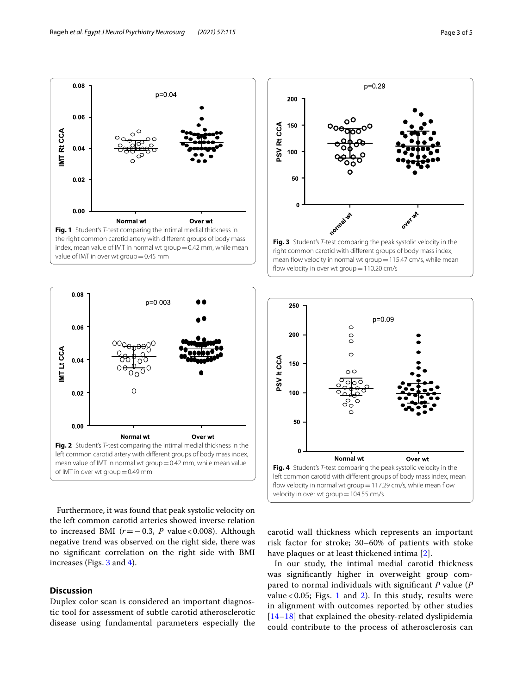

<span id="page-2-0"></span>

<span id="page-2-1"></span>Furthermore, it was found that peak systolic velocity on the left common carotid arteries showed inverse relation to increased BMI  $(r=-0.3, P \text{ value} < 0.008)$ . Although negative trend was observed on the right side, there was no signifcant correlation on the right side with BMI increases (Figs. [3](#page-2-2) and [4](#page-2-3)).

## **Discussion**

Duplex color scan is considered an important diagnostic tool for assessment of subtle carotid atherosclerotic disease using fundamental parameters especially the



<span id="page-2-2"></span>

<span id="page-2-3"></span>carotid wall thickness which represents an important risk factor for stroke; 30–60% of patients with stoke have plaques or at least thickened intima [[2\]](#page-3-1).

In our study, the intimal medial carotid thickness was signifcantly higher in overweight group compared to normal individuals with signifcant *P* value (*P* value <  $0.05$ ; Figs. [1](#page-2-0) and [2\)](#page-2-1). In this study, results were in alignment with outcomes reported by other studies [[14](#page-3-13)[–18](#page-4-0)] that explained the obesity-related dyslipidemia could contribute to the process of atherosclerosis can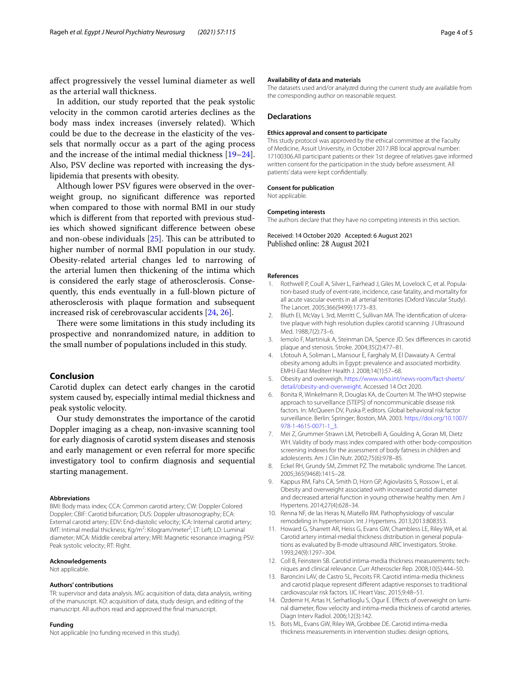afect progressively the vessel luminal diameter as well as the arterial wall thickness.

In addition, our study reported that the peak systolic velocity in the common carotid arteries declines as the body mass index increases (inversely related). Which could be due to the decrease in the elasticity of the vessels that normally occur as a part of the aging process and the increase of the intimal medial thickness [[19](#page-4-1)[–24](#page-4-2)]. Also, PSV decline was reported with increasing the dyslipidemia that presents with obesity.

Although lower PSV fgures were observed in the overweight group, no signifcant diference was reported when compared to those with normal BMI in our study which is diferent from that reported with previous studies which showed signifcant diference between obese and non-obese individuals  $[25]$  $[25]$ . This can be attributed to higher number of normal BMI population in our study. Obesity-related arterial changes led to narrowing of the arterial lumen then thickening of the intima which is considered the early stage of atherosclerosis. Consequently, this ends eventually in a full-blown picture of atherosclerosis with plaque formation and subsequent increased risk of cerebrovascular accidents [[24](#page-4-2), [26\]](#page-4-4).

There were some limitations in this study including its prospective and nonrandomized nature, in addition to the small number of populations included in this study.

## **Conclusion**

Carotid duplex can detect early changes in the carotid system caused by, especially intimal medial thickness and peak systolic velocity.

Our study demonstrates the importance of the carotid Doppler imaging as a cheap, non-invasive scanning tool for early diagnosis of carotid system diseases and stenosis and early management or even referral for more specifc investigatory tool to confrm diagnosis and sequential starting management.

#### **Abbreviations**

BMI: Body mass index; CCA: Common carotid artery; CW: Doppler Colored Doppler; CBIF: Carotid bifurcation; DUS: Doppler ultrasonography; ECA: External carotid artery; EDV: End-diastolic velocity; ICA: Internal carotid artery; IMT: Intimal medial thickness; Kg/m<sup>2</sup>: Kilogram/meter<sup>2</sup>; LT: Left; LD: Luminal diameter; MCA: Middle cerebral artery; MRI: Magnetic resonance imaging; PSV: Peak systolic velocity; RT: Right.

#### **Acknowledgements**

Not applicable.

#### **Authors' contributions**

TR: supervisor and data analysis. MG: acquisition of data, data analysis, writing of the manuscript. KO: acquisition of data, study design, and editing of the manuscript. All authors read and approved the fnal manuscript.

#### **Funding**

Not applicable (no funding received in this study).

The datasets used and/or analyzed during the current study are available from the corresponding author on reasonable request.

#### **Declarations**

#### **Ethics approval and consent to participate**

This study protocol was approved by the ethical committee at the Faculty of Medicine, Assuit University, in October 2017.IRB local approval number: 17100306.All participant patients or their 1st degree of relatives gave informed written consent for the participation in the study before assessment. All patients' data were kept confdentially.

#### **Consent for publication**

Not applicable.

#### **Competing interests**

The authors declare that they have no competing interests in this section.

Received: 14 October 2020 Accepted: 6 August 2021 Published online: 28 August 2021

#### **References**

- <span id="page-3-0"></span>1. Rothwell P, Coull A, Silver L, Fairhead J, Giles M, Lovelock C, et al. Population-based study of event-rate, incidence, case fatality, and mortality for all acute vascular events in all arterial territories (Oxford Vascular Study). The Lancet. 2005;366(9499):1773–83.
- <span id="page-3-1"></span>2. Bluth EI, McVay L 3rd, Merritt C, Sullivan MA. The identifcation of ulcerative plaque with high resolution duplex carotid scanning. J Ultrasound Med. 1988;7(2):73–6.
- <span id="page-3-2"></span>3. Iemolo F, Martiniuk A, Steinman DA, Spence JD. Sex diferences in carotid plaque and stenosis. Stroke. 2004;35(2):477–81.
- <span id="page-3-3"></span>4. Lfotouh A, Soliman L, Mansour E, Farghaly M, El Dawaiaty A. Central obesity among adults in Egypt: prevalence and associated morbidity. EMHJ-East Mediterr Health J. 2008;14(1):57–68.
- <span id="page-3-4"></span>5. Obesity and overweigh. [https://www.who.int/news-room/fact-sheets/](https://www.who.int/news-room/fact-sheets/detail/obesity-and-overweight) [detail/obesity-and-overweight](https://www.who.int/news-room/fact-sheets/detail/obesity-and-overweight). Accessed 14 Oct 2020.
- <span id="page-3-5"></span>6. Bonita R, Winkelmann R, Douglas KA, de Courten M. The WHO stepwise approach to surveillance (STEPS) of noncommunicable disease risk factors. In: McQueen DV, Puska P, editors. Global behavioral risk factor surveillance. Berlin: Springer; Boston, MA. 2003. [https://doi.org/10.1007/](https://doi.org/10.1007/978-1-4615-0071-1_3) [978-1-4615-0071-1\\_3.](https://doi.org/10.1007/978-1-4615-0071-1_3)
- <span id="page-3-6"></span>7. Mei Z, Grummer-Strawn LM, Pietrobelli A, Goulding A, Goran MI, Dietz WH. Validity of body mass index compared with other body-composition screening indexes for the assessment of body fatness in children and adolescents. Am J Clin Nutr. 2002;75(6):978–85.
- <span id="page-3-7"></span>8. Eckel RH, Grundy SM, Zimmet PZ. The metabolic syndrome. The Lancet. 2005;365(9468):1415–28.
- <span id="page-3-8"></span>9. Kappus RM, Fahs CA, Smith D, Horn GP, Agiovlasitis S, Rossow L, et al. Obesity and overweight associated with increased carotid diameter and decreased arterial function in young otherwise healthy men. Am J Hypertens. 2014;27(4):628–34.
- <span id="page-3-9"></span>10. Renna NF, de las Heras N, Miatello RM. Pathophysiology of vascular remodeling in hypertension. Int J Hypertens. 2013;2013:808353.
- <span id="page-3-10"></span>11. Howard G, Sharrett AR, Heiss G, Evans GW, Chambless LE, Riley WA, et al. Carotid artery intimal-medial thickness distribution in general populations as evaluated by B-mode ultrasound ARIC Investigators. Stroke. 1993;24(9):1297–304.
- <span id="page-3-11"></span>12. Coll B, Feinstein SB. Carotid intima-media thickness measurements: techniques and clinical relevance. Curr Atheroscler Rep. 2008;10(5):444–50.
- <span id="page-3-12"></span>13. Baroncini LAV, de Castro SL, Pecoits FR. Carotid intima-media thickness and carotid plaque represent diferent adaptive responses to traditional cardiovascular risk factors. IJC Heart Vasc. 2015;9:48–51.
- <span id="page-3-13"></span>14. Özdemir H, Artas H, Serhatlioglu S, Ogur E. Efects of overweight on luminal diameter, fow velocity and intima-media thickness of carotid arteries. Diagn Interv Radiol. 2006;12(3):142.
- 15. Bots ML, Evans GW, Riley WA, Grobbee DE. Carotid intima-media thickness measurements in intervention studies: design options,